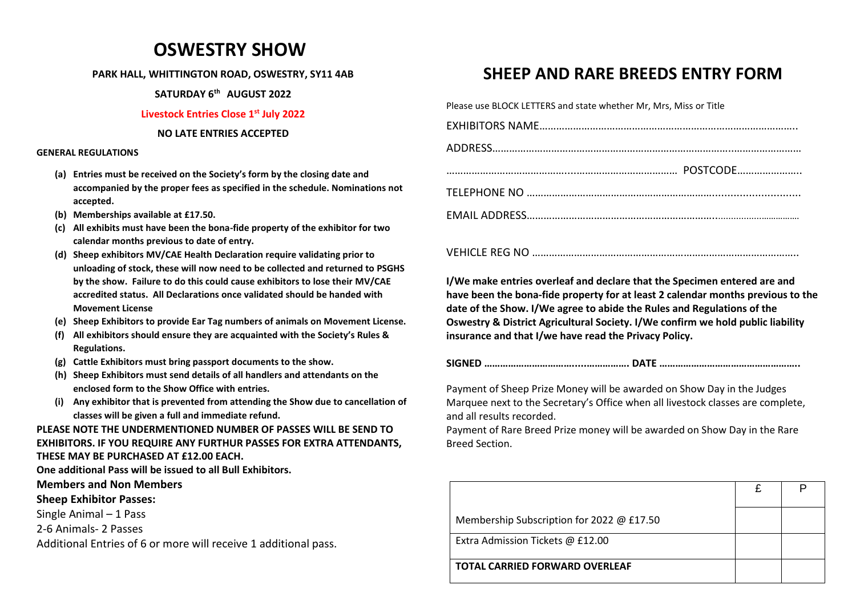# **OSWESTRY SHOW**

#### **PARK HALL, WHITTINGTON ROAD, OSWESTRY, SY11 4AB**

**SATURDAY 6 th AUGUST 2022**

### **Livestock Entries Close 1 st July 2022**

#### **NO LATE ENTRIES ACCEPTED**

#### **GENERAL REGULATIONS**

- **(a) Entries must be received on the Society's form by the closing date and accompanied by the proper fees as specified in the schedule. Nominations not accepted.**
- **(b) Memberships available at £17.50.**
- **(c) All exhibits must have been the bona-fide property of the exhibitor for two calendar months previous to date of entry.**
- **(d) Sheep exhibitors MV/CAE Health Declaration require validating prior to unloading of stock, these will now need to be collected and returned to PSGHS by the show. Failure to do this could cause exhibitors to lose their MV/CAE accredited status. All Declarations once validated should be handed with Movement License**
- **(e) Sheep Exhibitors to provide Ear Tag numbers of animals on Movement License.**
- **(f) All exhibitors should ensure they are acquainted with the Society's Rules & Regulations.**
- **(g) Cattle Exhibitors must bring passport documents to the show.**
- **(h) Sheep Exhibitors must send details of all handlers and attendants on the enclosed form to the Show Office with entries.**
- **(i) Any exhibitor that is prevented from attending the Show due to cancellation of classes will be given a full and immediate refund.**

## **PLEASE NOTE THE UNDERMENTIONED NUMBER OF PASSES WILL BE SEND TO EXHIBITORS. IF YOU REQUIRE ANY FURTHUR PASSES FOR EXTRA ATTENDANTS, THESE MAY BE PURCHASED AT £12.00 EACH.**

**One additional Pass will be issued to all Bull Exhibitors.**

## **Members and Non Members**

## **Sheep Exhibitor Passes:**

Single Animal – 1 Pass

2-6 Animals- 2 Passes

Additional Entries of 6 or more will receive 1 additional pass.

# **SHEEP AND RARE BREEDS ENTRY FORM**

Please use BLOCK LETTERS and state whether Mr, Mrs, Miss or Title

VEHICLE REG NO …………………………………………………………………………………..

**I/We make entries overleaf and declare that the Specimen entered are and have been the bona-fide property for at least 2 calendar months previous to the date of the Show. I/We agree to abide the Rules and Regulations of the Oswestry & District Agricultural Society. I/We confirm we hold public liability insurance and that I/we have read the Privacy Policy.**

**SIGNED …………………………….....……………. DATE ……………………………………………..**

Payment of Sheep Prize Money will be awarded on Show Day in the Judges Marquee next to the Secretary's Office when all livestock classes are complete, and all results recorded.

Payment of Rare Breed Prize money will be awarded on Show Day in the Rare Breed Section.

| Membership Subscription for 2022 @ £17.50 |  |
|-------------------------------------------|--|
| Extra Admission Tickets @ £12.00          |  |
| <b>TOTAL CARRIED FORWARD OVERLEAF</b>     |  |